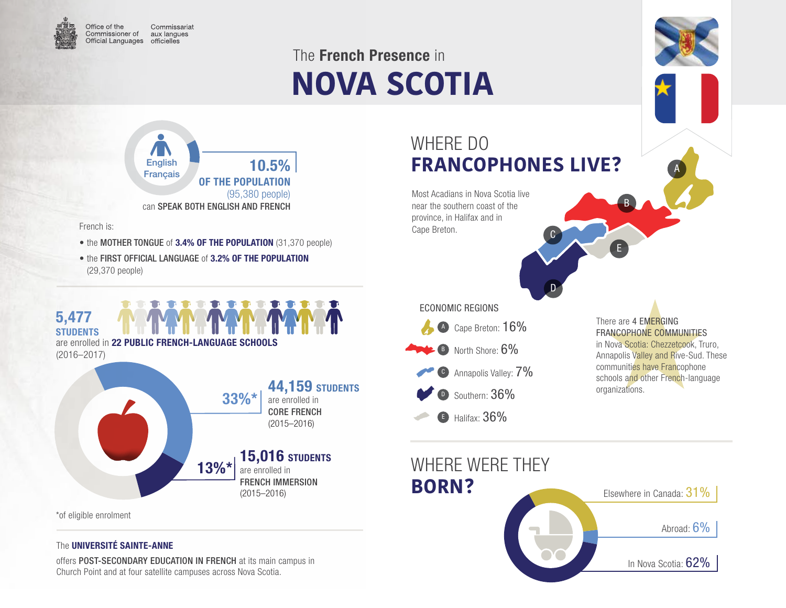

Commissariat Commissioner of aux langues Official Languages officielles

# **NOVA SCOTIA** The French Presence in



French is:

- the MOTHER TONGUE of 3.4% OF THE POPULATION (31,370 people)
- the FIRST OFFICIAL LANGUAGE of 3.2% OF THE POPULATION (29,370 people)



#### \*of eligible enrolment

#### The UNIVERSITÉ SAINTE-ANNE

offers POST-SECONDARY EDUCATION IN FRENCH at its main campus in Church Point and at four satellite campuses across Nova Scotia.

### WHERE DO **FRANCOPHONES LIVE?**

 $\mathsf{C}$ 

D

Most Acadians in Nova Scotia live near the southern coast of the province, in Halifax and in Cape Breton.

A Cape Breton: 16% C Annapolis Valley:  $7\%$ Southern: 36% B North Shore: 6% ECONOMIC REGIONS

B Halifax: 36%

There are 4 EMERGING FRANCOPHONE COMMUNITIES in Nova Scotia: Chezzetcook, Truro, Annapolis Valley and Rive-Sud. These communities have Francophone schools and other French-language organizations.

A

B

E